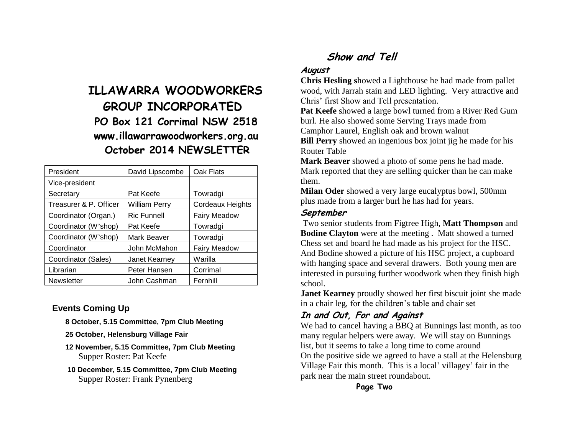# **ILLAWARRA WOODWORKERS GROUP INCORPORATED PO Box 121 Corrimal NSW 2518 www.illawarrawoodworkers.org.au October 2014 NEWSLETTER**

| President              | David Lipscombe      | Oak Flats           |
|------------------------|----------------------|---------------------|
| Vice-president         |                      |                     |
| Secretary              | Pat Keefe            | Towradgi            |
| Treasurer & P. Officer | <b>William Perry</b> | Cordeaux Heights    |
| Coordinator (Organ.)   | <b>Ric Funnell</b>   | <b>Fairy Meadow</b> |
| Coordinator (W'shop)   | Pat Keefe            | Towradgi            |
| Coordinator (W'shop)   | <b>Mark Beaver</b>   | Towradgi            |
| Coordinator            | John McMahon         | <b>Fairy Meadow</b> |
| Coordinator (Sales)    | Janet Kearney        | Warilla             |
| Librarian              | Peter Hansen         | Corrimal            |
| <b>Newsletter</b>      | John Cashman         | Fernhill            |

## **Events Coming Up**

**8 October, 5.15 Committee, 7pm Club Meeting**

- **25 October, Helensburg Village Fair**
- **12 November, 5.15 Committee, 7pm Club Meeting** Supper Roster: Pat Keefe
- **10 December, 5.15 Committee, 7pm Club Meeting** Supper Roster: Frank Pynenberg

# **Show and Tell**

## **August**

**Chris Hesling s**howed a Lighthouse he had made from pallet wood, with Jarrah stain and LED lighting. Very attractive and Chris' first Show and Tell presentation.

**Pat Keefe** showed a large bowl turned from a River Red Gum burl. He also showed some Serving Trays made from Camphor Laurel, English oak and brown walnut

**Bill Perry** showed an ingenious box joint jig he made for his Router Table

**Mark Beaver** showed a photo of some pens he had made. Mark reported that they are selling quicker than he can make them.

**Milan Oder** showed a very large eucalyptus bowl, 500mm plus made from a larger burl he has had for years.

## **September**

Two senior students from Figtree High, **Matt Thompson** and **Bodine Clayton** were at the meeting . Matt showed a turned Chess set and board he had made as his project for the HSC. And Bodine showed a picture of his HSC project, a cupboard with hanging space and several drawers. Both young men are interested in pursuing further woodwork when they finish high school.

**Janet Kearney** proudly showed her first biscuit joint she made in a chair leg, for the children's table and chair set

# **In and Out, For and Against**

We had to cancel having a BBQ at Bunnings last month, as too many regular helpers were away. We will stay on Bunnings list, but it seems to take a long time to come around On the positive side we agreed to have a stall at the Helensburg Village Fair this month. This is a local' villagey' fair in the park near the main street roundabout.

**Page Two**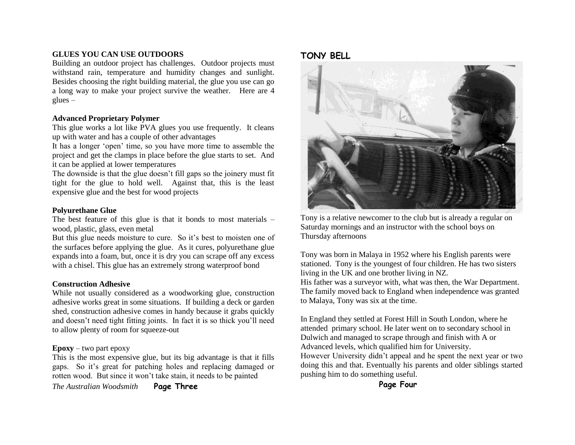#### **GLUES YOU CAN USE OUTDOORS**

Building an outdoor project has challenges. Outdoor projects must withstand rain, temperature and humidity changes and sunlight. Besides choosing the right building material, the glue you use can go a long way to make your project survive the weather. Here are 4  $glues$  –

#### **Advanced Proprietary Polymer**

This glue works a lot like PVA glues you use frequently. It cleans up with water and has a couple of other advantages

It has a longer 'open' time, so you have more time to assemble the project and get the clamps in place before the glue starts to set. And it can be applied at lower temperatures

The downside is that the glue doesn't fill gaps so the joinery must fit tight for the glue to hold well. Against that, this is the least expensive glue and the best for wood projects

#### **Polyurethane Glue**

The best feature of this glue is that it bonds to most materials – wood, plastic, glass, even metal

But this glue needs moisture to cure. So it's best to moisten one of the surfaces before applying the glue. As it cures, polyurethane glue expands into a foam, but, once it is dry you can scrape off any excess with a chisel. This glue has an extremely strong waterproof bond

#### **Construction Adhesive**

While not usually considered as a woodworking glue, construction adhesive works great in some situations. If building a deck or garden shed, construction adhesive comes in handy because it grabs quickly and doesn't need tight fitting joints. In fact it is so thick you'll need to allow plenty of room for squeeze-out

#### **Epoxy** – two part epoxy

This is the most expensive glue, but its big advantage is that it fills gaps. So it's great for patching holes and replacing damaged or rotten wood. But since it won't take stain, it needs to be painted

*The Australian Woodsmith* **Page Three**

#### **TONY BELL**



Tony is a relative newcomer to the club but is already a regular on Saturday mornings and an instructor with the school boys on Thursday afternoons

Tony was born in Malaya in 1952 where his English parents were stationed. Tony is the youngest of four children. He has two sisters living in the UK and one brother living in NZ. His father was a surveyor with, what was then, the War Department. The family moved back to England when independence was granted to Malaya, Tony was six at the time.

In England they settled at Forest Hill in South London, where he attended primary school. He later went on to secondary school in Dulwich and managed to scrape through and finish with A or Advanced levels, which qualified him for University. However University didn't appeal and he spent the next year or two doing this and that. Eventually his parents and older siblings started pushing him to do something useful.

**Page Four**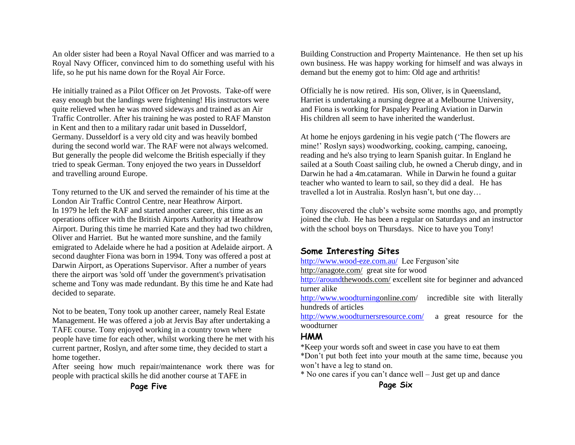An older sister had been a Royal Naval Officer and was married to a Royal Navy Officer, convinced him to do something useful with his life, so he put his name down for the Royal Air Force.

He initially trained as a Pilot Officer on Jet Provosts. Take-off were easy enough but the landings were frightening! His instructors were quite relieved when he was moved sideways and trained as an Air Traffic Controller. After his training he was posted to RAF Manston in Kent and then to a military radar unit based in Dusseldorf, Germany. Dusseldorf is a very old city and was heavily bombed during the second world war. The RAF were not always welcomed. But generally the people did welcome the British especially if they tried to speak German. Tony enjoyed the two years in Dusseldorf and travelling around Europe.

Tony returned to the UK and served the remainder of his time at the London Air Traffic Control Centre, near Heathrow Airport. In 1979 he left the RAF and started another career, this time as an operations officer with the British Airports Authority at Heathrow Airport. During this time he married Kate and they had two children, Oliver and Harriet. But he wanted more sunshine, and the family emigrated to Adelaide where he had a position at Adelaide airport. A second daughter Fiona was born in 1994. Tony was offered a post at Darwin Airport, as Operations Supervisor. After a number of years there the airport was 'sold off 'under the government's privatisation scheme and Tony was made redundant. By this time he and Kate had decided to separate.

Not to be beaten, Tony took up another career, namely Real Estate Management. He was offered a job at Jervis Bay after undertaking a TAFE course. Tony enjoyed working in a country town where people have time for each other, whilst working there he met with his current partner, Roslyn, and after some time, they decided to start a home together.

After seeing how much repair/maintenance work there was for people with practical skills he did another course at TAFE in

Building Construction and Property Maintenance. He then set up his own business. He was happy working for himself and was always in demand but the enemy got to him: Old age and arthritis!

Officially he is now retired. His son, Oliver, is in Queensland, Harriet is undertaking a nursing degree at a Melbourne University, and Fiona is working for Paspaley Pearling Aviation in Darwin His children all seem to have inherited the wanderlust.

At home he enjoys gardening in his vegie patch ('The flowers are mine!' Roslyn says) woodworking, cooking, camping, canoeing, reading and he's also trying to learn Spanish guitar. In England he sailed at a South Coast sailing club, he owned a Cherub dingy, and in Darwin he had a 4m.catamaran. While in Darwin he found a guitar teacher who wanted to learn to sail, so they did a deal. He has travelled a lot in Australia. Roslyn hasn't, but one day…

Tony discovered the club's website some months ago, and promptly joined the club. He has been a regular on Saturdays and an instructor with the school boys on Thursdays. Nice to have you Tony!

### **Some Interesting Sites**

<http://www.wood-eze.com.au/>Lee Ferguson'site

http://anagote.com/ great site for wood

[http://aroundt](http://around/)hewoods.com/ excellent site for beginner and advanced turner alike

[http://www.woodturningo](http://www.woodturning/)nline.com/ incredible site with literally hundreds of articles

<http://www.woodturnersresource.com/>a great resource for the woodturner

## **HMM**

\*Keep your words soft and sweet in case you have to eat them

\*Don't put both feet into your mouth at the same time, because you won't have a leg to stand on.

\* No one cares if you can't dance well – Just get up and dance